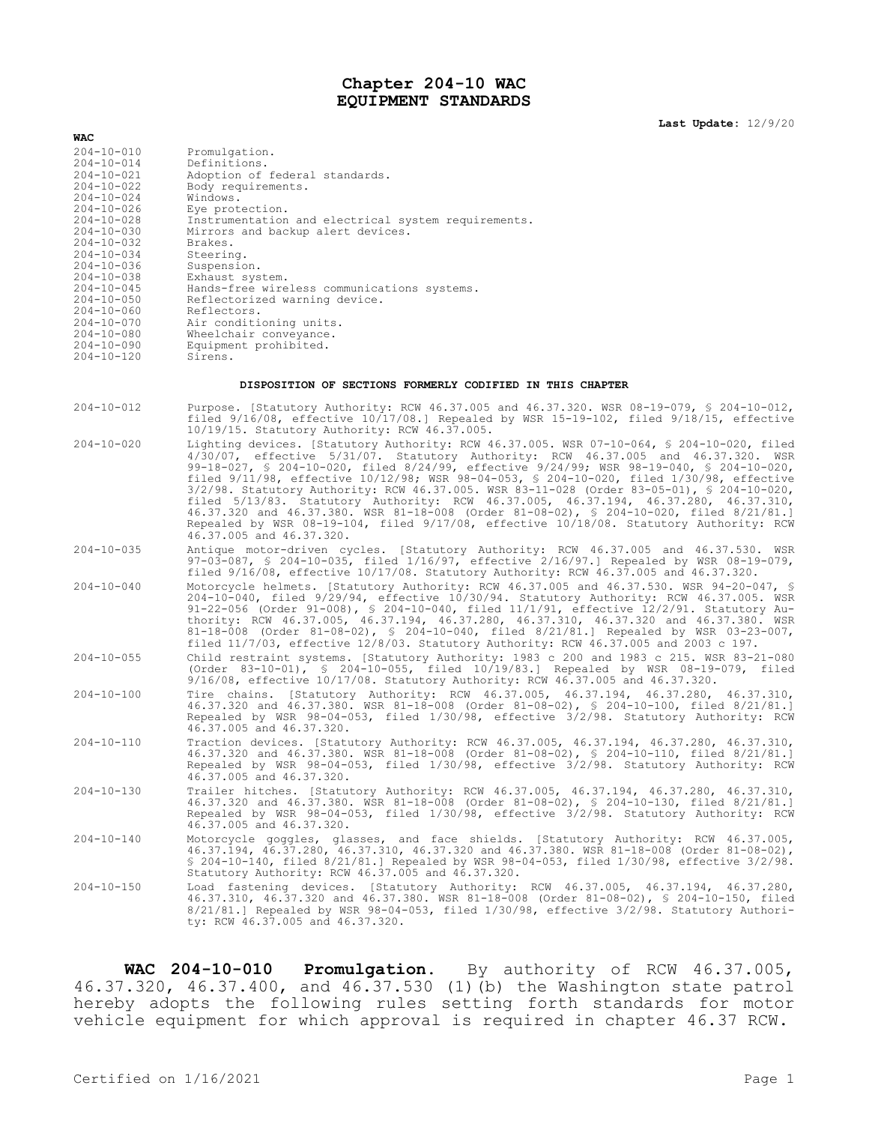## **Chapter 204-10 WAC EQUIPMENT STANDARDS**

**Last Update:** 12/9/20

| <b>WAC</b>       |                                                     |
|------------------|-----------------------------------------------------|
| $204 - 10 - 010$ | Promulgation.                                       |
| $204 - 10 - 014$ | Definitions.                                        |
| $204 - 10 - 021$ | Adoption of federal standards.                      |
| $204 - 10 - 022$ | Body requirements.                                  |
| $204 - 10 - 024$ | Windows.                                            |
| $204 - 10 - 026$ | Eye protection.                                     |
| $204 - 10 - 028$ | Instrumentation and electrical system requirements. |
| $204 - 10 - 030$ | Mirrors and backup alert devices.                   |
| $204 - 10 - 032$ | Brakes.                                             |
| $204 - 10 - 034$ | Steering.                                           |
| $204 - 10 - 036$ | Suspension.                                         |
| $204 - 10 - 038$ | Exhaust system.                                     |
| $204 - 10 - 045$ | Hands-free wireless communications systems.         |
| $204 - 10 - 050$ | Reflectorized warning device.                       |
| $204 - 10 - 060$ | Reflectors.                                         |
| $204 - 10 - 070$ | Air conditioning units.                             |
| $204 - 10 - 080$ | Wheelchair conveyance.                              |
| $204 - 10 - 090$ | Equipment prohibited.                               |
| $204 - 10 - 120$ | Sirens.                                             |
|                  |                                                     |

## **DISPOSITION OF SECTIONS FORMERLY CODIFIED IN THIS CHAPTER**

204-10-012 Purpose. [Statutory Authority: RCW 46.37.005 and 46.37.320. WSR 08-19-079, § 204-10-012, filed 9/16/08, effective 10/17/08.] Repealed by WSR 15-19-102, filed 9/18/15, effective 10/19/15. Statutory Authority: RCW 46.37.005.

- 204-10-020 Lighting devices. [Statutory Authority: RCW 46.37.005. WSR 07-10-064, § 204-10-020, filed 4/30/07, effective 5/31/07. Statutory Authority: RCW 46.37.005 and 46.37.320. WSR 99-18-027, § 204-10-020, filed 8/24/99, effective 9/24/99; WSR 98-19-040, § 204-10-020, filed 9/11/98, effective 10/12/98; WSR 98-04-053, § 204-10-020, filed 1/30/98, effective 3/2/98. Statutory Authority: RCW 46.37.005. WSR 83-11-028 (Order 83-05-01), § 204-10-020, filed 5/13/83. Statutory Authority: RCW 46.37.005, 46.37.194, 46.37.280, 46.37.310, 46.37.320 and 46.37.380. WSR 81-18-008 (Order 81-08-02), § 204-10-020, filed 8/21/81.] Repealed by WSR 08-19-104, filed 9/17/08, effective 10/18/08. Statutory Authority: RCW 46.37.005 and 46.37.320.
- 204-10-035 Antique motor-driven cycles. [Statutory Authority: RCW 46.37.005 and 46.37.530. WSR 97-03-087, § 204-10-035, filed 1/16/97, effective 2/16/97.] Repealed by WSR 08-19-079, filed 9/16/08, effective 10/17/08. Statutory Authority: RCW 46.37.005 and 46.37.320.
- 204-10-040 Motorcycle helmets. [Statutory Authority: RCW 46.37.005 and 46.37.530. WSR 94-20-047, § 204-10-040, filed 9/29/94, effective 10/30/94. Statutory Authority: RCW 46.37.005. WSR 91-22-056 (Order 91-008), § 204-10-040, filed 11/1/91, effective 12/2/91. Statutory Authority: RCW 46.37.005, 46.37.194, 46.37.280, 46.37.310, 46.37.320 and 46.37.380. WSR 81-18-008 (Order 81-08-02), § 204-10-040, filed 8/21/81.] Repealed by WSR 03-23-007, filed 11/7/03, effective 12/8/03. Statutory Authority: RCW 46.37.005 and 2003 c 197.
- 204-10-055 Child restraint systems. [Statutory Authority: 1983 c 200 and 1983 c 215. WSR 83-21-080 (Order 83-10-01), § 204-10-055, filed 10/19/83.] Repealed by WSR 08-19-079, filed 9/16/08, effective 10/17/08. Statutory Authority: RCW 46.37.005 and 46.37.320.
- 204-10-100 Tire chains. [Statutory Authority: RCW 46.37.005, 46.37.194, 46.37.280, 46.37.310, 46.37.320 and 46.37.380. WSR 81-18-008 (Order 81-08-02), § 204-10-100, filed 8/21/81.] Repealed by WSR 98-04-053, filed 1/30/98, effective 3/2/98. Statutory Authority: RCW 46.37.005 and 46.37.320.
- 204-10-110 Traction devices. [Statutory Authority: RCW 46.37.005, 46.37.194, 46.37.280, 46.37.310, 46.37.320 and 46.37.380. WSR 81-18-008 (Order 81-08-02), § 204-10-110, filed 8/21/81.] Repealed by WSR 98-04-053, filed 1/30/98, effective 3/2/98. Statutory Authority: RCW 46.37.005 and 46.37.320.
- 204-10-130 Trailer hitches. [Statutory Authority: RCW 46.37.005, 46.37.194, 46.37.280, 46.37.310, 46.37.320 and 46.37.380. WSR 81-18-008 (Order 81-08-02), § 204-10-130, filed 8/21/81.] Repealed by WSR 98-04-053, filed 1/30/98, effective 3/2/98. Statutory Authority: RCW 46.37.005 and 46.37.320.
- 204-10-140 Motorcycle goggles, glasses, and face shields. [Statutory Authority: RCW 46.37.005, 46.37.194, 46.37.280, 46.37.310, 46.37.320 and 46.37.380. WSR 81-18-008 (Order 81-08-02), § 204-10-140, filed 8/21/81.] Repealed by WSR 98-04-053, filed 1/30/98, effective 3/2/98. Statutory Authority: RCW 46.37.005 and 46.37.320.
- 204-10-150 Load fastening devices. [Statutory Authority: RCW 46.37.005, 46.37.194, 46.37.280, 46.37.310, 46.37.320 and 46.37.380. WSR 81-18-008 (Order 81-08-02), § 204-10-150, filed 8/21/81.] Repealed by WSR 98-04-053, filed 1/30/98, effective 3/2/98. Statutory Authority: RCW 46.37.005 and 46.37.320.

**WAC 204-10-010 Promulgation.** By authority of RCW 46.37.005, 46.37.320, 46.37.400, and 46.37.530 (1)(b) the Washington state patrol hereby adopts the following rules setting forth standards for motor vehicle equipment for which approval is required in chapter 46.37 RCW.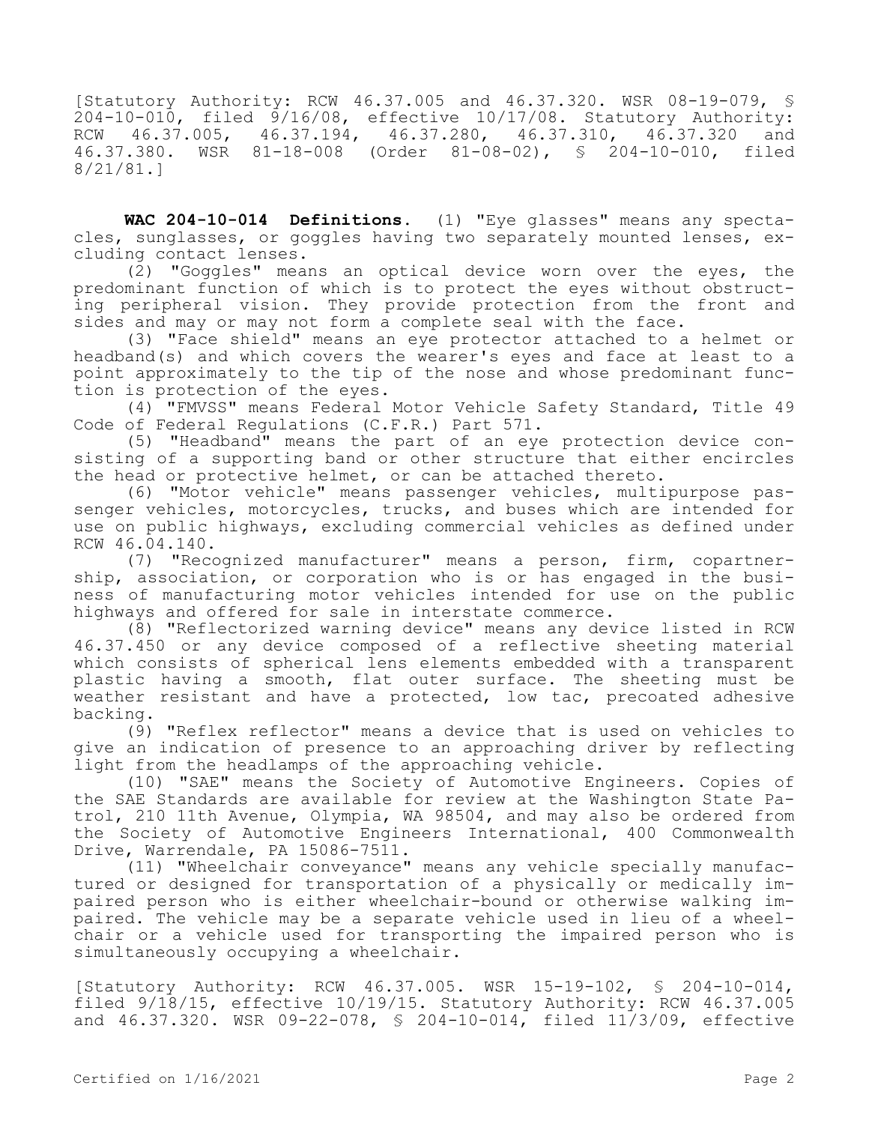[Statutory Authority: RCW 46.37.005 and 46.37.320. WSR 08-19-079, § 204-10-010, filed 9/16/08, effective 10/17/08. Statutory Authority: RCW 46.37.005, 46.37.194, 46.37.280, 46.37.310, 46.37.320 and 46.37.380. WSR 81-18-008 (Order 81-08-02), § 204-10-010, filed 8/21/81.]

**WAC 204-10-014 Definitions.** (1) "Eye glasses" means any spectacles, sunglasses, or goggles having two separately mounted lenses, excluding contact lenses.

(2) "Goggles" means an optical device worn over the eyes, the predominant function of which is to protect the eyes without obstructing peripheral vision. They provide protection from the front and sides and may or may not form a complete seal with the face.

(3) "Face shield" means an eye protector attached to a helmet or headband(s) and which covers the wearer's eyes and face at least to a point approximately to the tip of the nose and whose predominant function is protection of the eyes.

(4) "FMVSS" means Federal Motor Vehicle Safety Standard, Title 49 Code of Federal Regulations (C.F.R.) Part 571.

(5) "Headband" means the part of an eye protection device consisting of a supporting band or other structure that either encircles the head or protective helmet, or can be attached thereto.

(6) "Motor vehicle" means passenger vehicles, multipurpose passenger vehicles, motorcycles, trucks, and buses which are intended for use on public highways, excluding commercial vehicles as defined under RCW 46.04.140.

(7) "Recognized manufacturer" means a person, firm, copartnership, association, or corporation who is or has engaged in the business of manufacturing motor vehicles intended for use on the public highways and offered for sale in interstate commerce.

(8) "Reflectorized warning device" means any device listed in RCW 46.37.450 or any device composed of a reflective sheeting material which consists of spherical lens elements embedded with a transparent plastic having a smooth, flat outer surface. The sheeting must be weather resistant and have a protected, low tac, precoated adhesive backing.

(9) "Reflex reflector" means a device that is used on vehicles to give an indication of presence to an approaching driver by reflecting light from the headlamps of the approaching vehicle.

(10) "SAE" means the Society of Automotive Engineers. Copies of the SAE Standards are available for review at the Washington State Patrol, 210 11th Avenue, Olympia, WA 98504, and may also be ordered from the Society of Automotive Engineers International, 400 Commonwealth Drive, Warrendale, PA 15086-7511.

(11) "Wheelchair conveyance" means any vehicle specially manufactured or designed for transportation of a physically or medically impaired person who is either wheelchair-bound or otherwise walking impaired. The vehicle may be a separate vehicle used in lieu of a wheelchair or a vehicle used for transporting the impaired person who is simultaneously occupying a wheelchair.

[Statutory Authority: RCW 46.37.005. WSR 15-19-102, § 204-10-014, filed 9/18/15, effective 10/19/15. Statutory Authority: RCW 46.37.005 and 46.37.320. WSR 09-22-078, § 204-10-014, filed 11/3/09, effective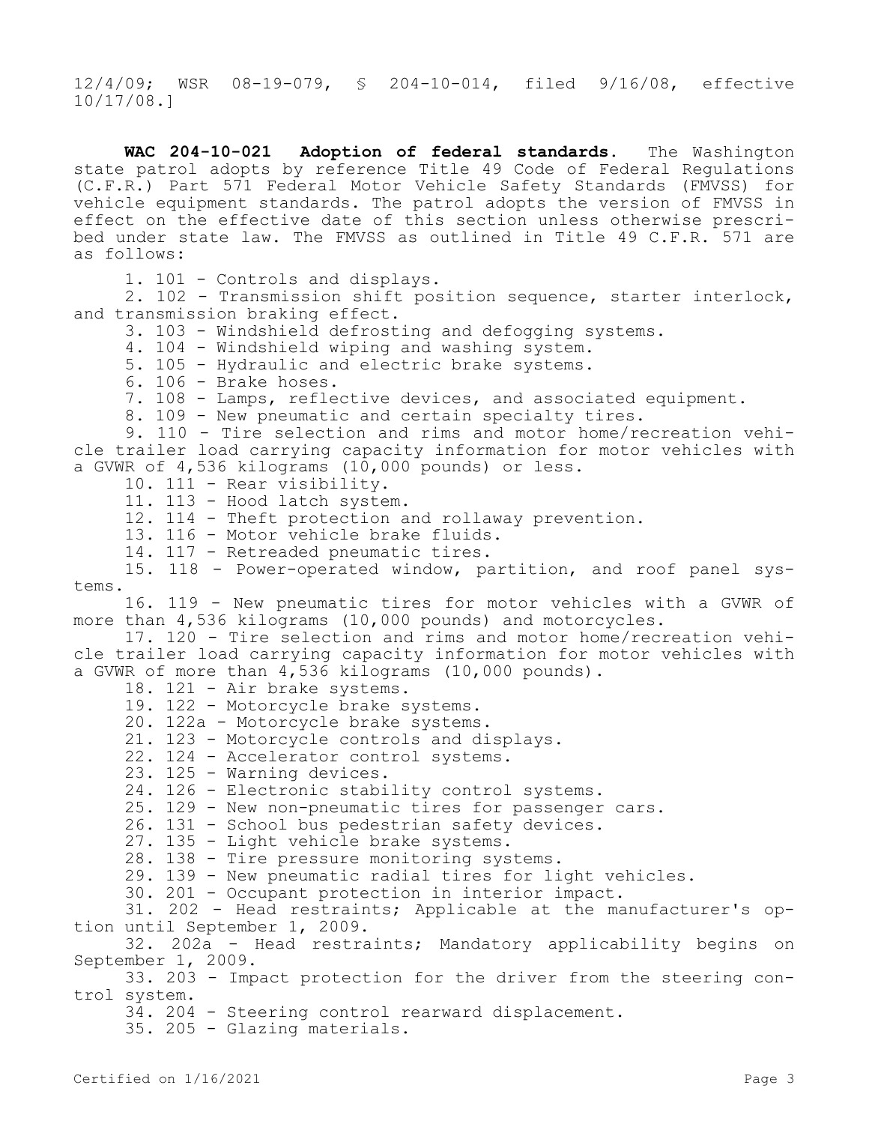12/4/09; WSR 08-19-079, § 204-10-014, filed 9/16/08, effective 10/17/08.]

**WAC 204-10-021 Adoption of federal standards.** The Washington state patrol adopts by reference Title 49 Code of Federal Regulations (C.F.R.) Part 571 Federal Motor Vehicle Safety Standards (FMVSS) for vehicle equipment standards. The patrol adopts the version of FMVSS in effect on the effective date of this section unless otherwise prescribed under state law. The FMVSS as outlined in Title 49 C.F.R. 571 are as follows: 1. 101 - Controls and displays. 2. 102 - Transmission shift position sequence, starter interlock, and transmission braking effect. 3. 103 - Windshield defrosting and defogging systems. 4. 104 - Windshield wiping and washing system. 5. 105 - Hydraulic and electric brake systems. 6. 106 - Brake hoses. 7. 108 - Lamps, reflective devices, and associated equipment. 8. 109 - New pneumatic and certain specialty tires. 9. 110 - Tire selection and rims and motor home/recreation vehicle trailer load carrying capacity information for motor vehicles with a GVWR of 4,536 kilograms (10,000 pounds) or less. 10. 111 - Rear visibility. 11. 113 - Hood latch system. 12. 114 - Theft protection and rollaway prevention. 13. 116 - Motor vehicle brake fluids. 14. 117 - Retreaded pneumatic tires. 15. 118 - Power-operated window, partition, and roof panel systems. 16. 119 - New pneumatic tires for motor vehicles with a GVWR of more than 4,536 kilograms (10,000 pounds) and motorcycles. 17. 120 - Tire selection and rims and motor home/recreation vehicle trailer load carrying capacity information for motor vehicles with a GVWR of more than 4,536 kilograms (10,000 pounds). 18. 121 - Air brake systems. 19. 122 - Motorcycle brake systems. 20. 122a - Motorcycle brake systems. 21. 123 - Motorcycle controls and displays. 22. 124 - Accelerator control systems. 23. 125 - Warning devices. 24. 126 - Electronic stability control systems. 25. 129 - New non-pneumatic tires for passenger cars. 26. 131 - School bus pedestrian safety devices. 27. 135 - Light vehicle brake systems. 28. 138 - Tire pressure monitoring systems. 29. 139 - New pneumatic radial tires for light vehicles. 30. 201 - Occupant protection in interior impact. 31. 202 - Head restraints; Applicable at the manufacturer's option until September 1, 2009. 32. 202a - Head restraints; Mandatory applicability begins on September 1, 2009. 33. 203 - Impact protection for the driver from the steering control system. 34. 204 - Steering control rearward displacement. 35. 205 - Glazing materials.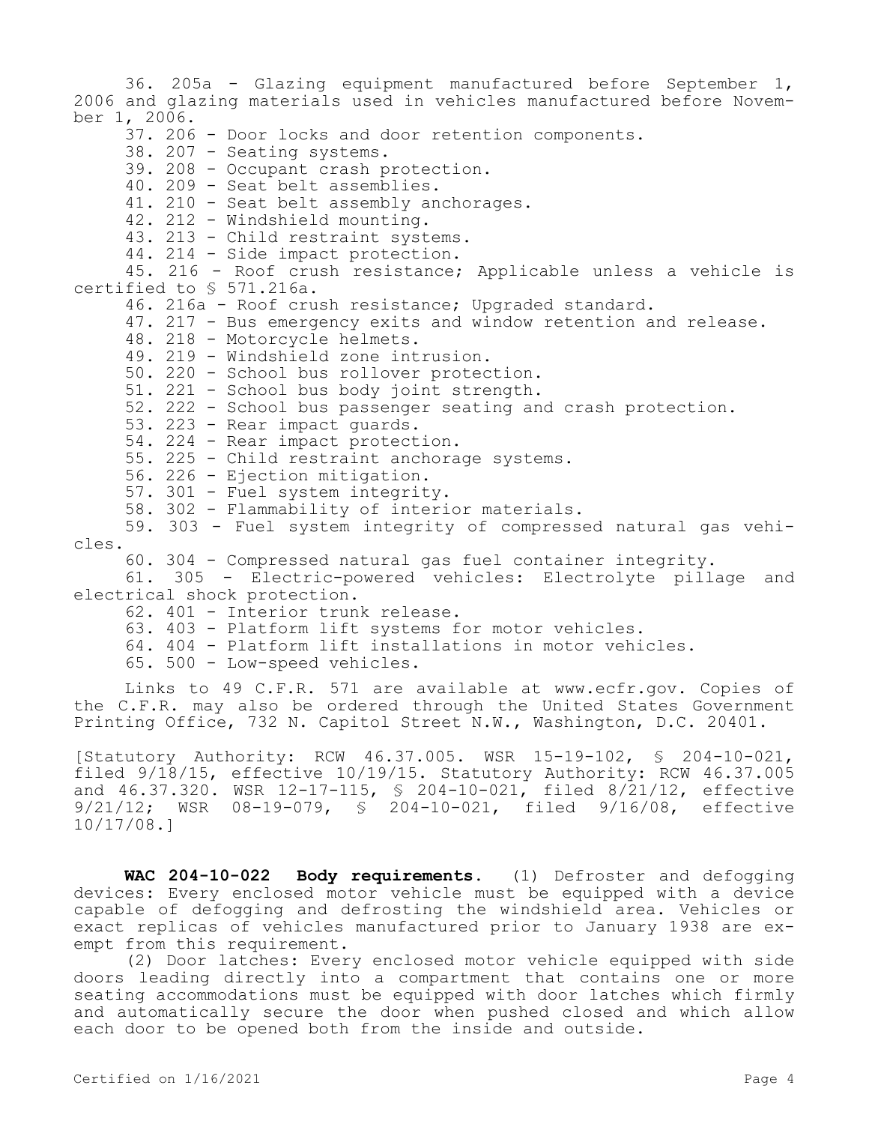36. 205a - Glazing equipment manufactured before September 1, 2006 and glazing materials used in vehicles manufactured before November 1, 2006. 37. 206 - Door locks and door retention components. 38. 207 - Seating systems. 39. 208 - Occupant crash protection. 40. 209 - Seat belt assemblies. 41. 210 - Seat belt assembly anchorages. 42. 212 - Windshield mounting. 43. 213 - Child restraint systems. 44. 214 - Side impact protection. 45. 216 - Roof crush resistance; Applicable unless a vehicle is certified to § 571.216a. 46. 216a - Roof crush resistance; Upgraded standard. 47. 217 - Bus emergency exits and window retention and release. 48. 218 - Motorcycle helmets. 49. 219 - Windshield zone intrusion. 50. 220 - School bus rollover protection. 51. 221 - School bus body joint strength. 52. 222 - School bus passenger seating and crash protection. 53. 223 - Rear impact guards. 54. 224 - Rear impact protection. 55. 225 - Child restraint anchorage systems. 56. 226 - Ejection mitigation. 57. 301 - Fuel system integrity. 58. 302 - Flammability of interior materials. 59. 303 - Fuel system integrity of compressed natural gas vehicles. 60. 304 - Compressed natural gas fuel container integrity. 61. 305 - Electric-powered vehicles: Electrolyte pillage and electrical shock protection. 62. 401 - Interior trunk release. 63. 403 - Platform lift systems for motor vehicles. 64. 404 - Platform lift installations in motor vehicles. 65. 500 - Low-speed vehicles.

Links to 49 C.F.R. 571 are available at www.ecfr.gov. Copies of the C.F.R. may also be ordered through the United States Government Printing Office, 732 N. Capitol Street N.W., Washington, D.C. 20401.

[Statutory Authority: RCW 46.37.005. WSR 15-19-102, § 204-10-021, filed 9/18/15, effective 10/19/15. Statutory Authority: RCW 46.37.005 and 46.37.320. WSR 12-17-115, § 204-10-021, filed 8/21/12, effective 9/21/12; WSR 08-19-079, § 204-10-021, filed 9/16/08, effective 10/17/08.]

**WAC 204-10-022 Body requirements.** (1) Defroster and defogging devices: Every enclosed motor vehicle must be equipped with a device capable of defogging and defrosting the windshield area. Vehicles or exact replicas of vehicles manufactured prior to January 1938 are exempt from this requirement.

(2) Door latches: Every enclosed motor vehicle equipped with side doors leading directly into a compartment that contains one or more seating accommodations must be equipped with door latches which firmly and automatically secure the door when pushed closed and which allow each door to be opened both from the inside and outside.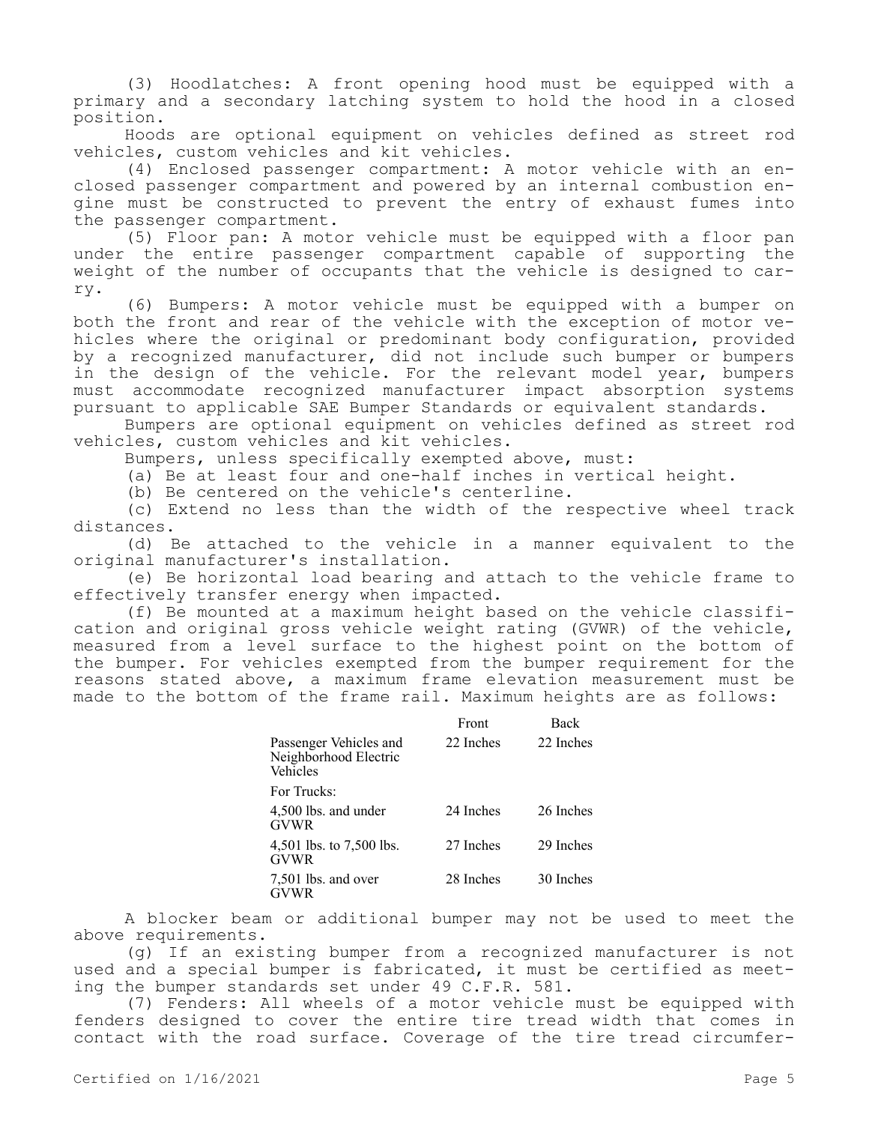(3) Hoodlatches: A front opening hood must be equipped with a primary and a secondary latching system to hold the hood in a closed position.

Hoods are optional equipment on vehicles defined as street rod vehicles, custom vehicles and kit vehicles.

(4) Enclosed passenger compartment: A motor vehicle with an enclosed passenger compartment and powered by an internal combustion engine must be constructed to prevent the entry of exhaust fumes into the passenger compartment.

(5) Floor pan: A motor vehicle must be equipped with a floor pan under the entire passenger compartment capable of supporting the weight of the number of occupants that the vehicle is designed to carry.

(6) Bumpers: A motor vehicle must be equipped with a bumper on both the front and rear of the vehicle with the exception of motor vehicles where the original or predominant body configuration, provided by a recognized manufacturer, did not include such bumper or bumpers in the design of the vehicle. For the relevant model year, bumpers must accommodate recognized manufacturer impact absorption systems pursuant to applicable SAE Bumper Standards or equivalent standards.

Bumpers are optional equipment on vehicles defined as street rod vehicles, custom vehicles and kit vehicles.

Bumpers, unless specifically exempted above, must:

(a) Be at least four and one-half inches in vertical height.

(b) Be centered on the vehicle's centerline.

(c) Extend no less than the width of the respective wheel track distances.

(d) Be attached to the vehicle in a manner equivalent to the original manufacturer's installation.

(e) Be horizontal load bearing and attach to the vehicle frame to effectively transfer energy when impacted.

(f) Be mounted at a maximum height based on the vehicle classification and original gross vehicle weight rating (GVWR) of the vehicle, measured from a level surface to the highest point on the bottom of the bumper. For vehicles exempted from the bumper requirement for the reasons stated above, a maximum frame elevation measurement must be made to the bottom of the frame rail. Maximum heights are as follows:

|                                                             | Front     | Back      |  |
|-------------------------------------------------------------|-----------|-----------|--|
| Passenger Vehicles and<br>Neighborhood Electric<br>Vehicles | 22 Inches | 22 Inches |  |
| For Trucks:                                                 |           |           |  |
| 4,500 lbs. and under<br><b>GVWR</b>                         | 24 Inches | 26 Inches |  |
| 4,501 lbs. to 7,500 lbs.<br>GVWR                            | 27 Inches | 29 Inches |  |
| 7,501 lbs. and over<br>GVWR                                 | 28 Inches | 30 Inches |  |

A blocker beam or additional bumper may not be used to meet the above requirements.

(g) If an existing bumper from a recognized manufacturer is not used and a special bumper is fabricated, it must be certified as meeting the bumper standards set under 49 C.F.R. 581.

(7) Fenders: All wheels of a motor vehicle must be equipped with fenders designed to cover the entire tire tread width that comes in contact with the road surface. Coverage of the tire tread circumfer-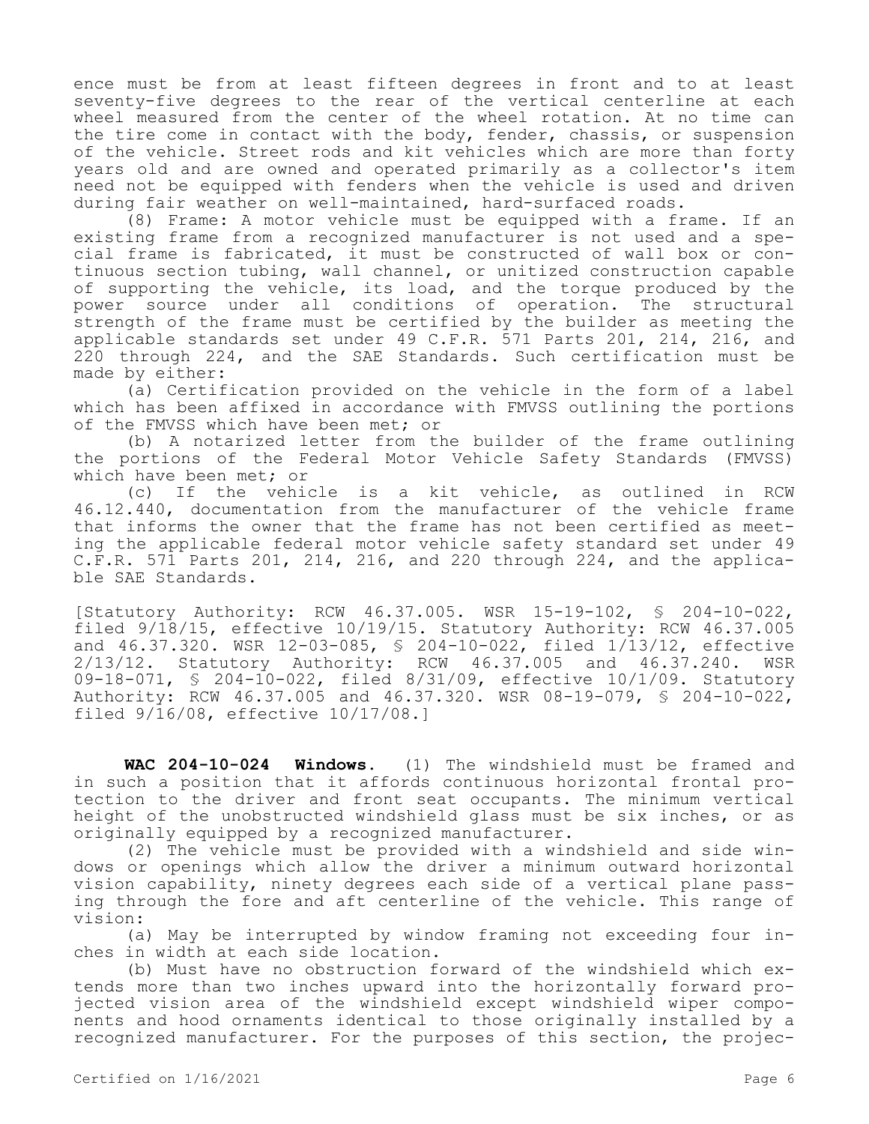ence must be from at least fifteen degrees in front and to at least seventy-five degrees to the rear of the vertical centerline at each wheel measured from the center of the wheel rotation. At no time can the tire come in contact with the body, fender, chassis, or suspension of the vehicle. Street rods and kit vehicles which are more than forty years old and are owned and operated primarily as a collector's item need not be equipped with fenders when the vehicle is used and driven during fair weather on well-maintained, hard-surfaced roads.

(8) Frame: A motor vehicle must be equipped with a frame. If an existing frame from a recognized manufacturer is not used and a special frame is fabricated, it must be constructed of wall box or continuous section tubing, wall channel, or unitized construction capable of supporting the vehicle, its load, and the torque produced by the power source under all conditions of operation. The structural strength of the frame must be certified by the builder as meeting the applicable standards set under 49 C.F.R. 571 Parts 201, 214, 216, and 220 through 224, and the SAE Standards. Such certification must be made by either:

(a) Certification provided on the vehicle in the form of a label which has been affixed in accordance with FMVSS outlining the portions of the FMVSS which have been met; or

(b) A notarized letter from the builder of the frame outlining the portions of the Federal Motor Vehicle Safety Standards (FMVSS) which have been met; or<br>(c) If the vehic

If the vehicle is a kit vehicle, as outlined in RCW 46.12.440, documentation from the manufacturer of the vehicle frame that informs the owner that the frame has not been certified as meeting the applicable federal motor vehicle safety standard set under 49 C.F.R. 571 Parts 201, 214, 216, and 220 through 224, and the applicable SAE Standards.

[Statutory Authority: RCW 46.37.005. WSR 15-19-102, § 204-10-022, filed 9/18/15, effective 10/19/15. Statutory Authority: RCW 46.37.005 and  $46.37.320$ . WSR  $12-03-085$ , § 204-10-022, filed  $1/\overline{1}3/12$ , effective 2/13/12. Statutory Authority: RCW 46.37.005 and 46.37.240. WSR 09-18-071, § 204-10-022, filed 8/31/09, effective 10/1/09. Statutory Authority: RCW 46.37.005 and 46.37.320. WSR 08-19-079, § 204-10-022, filed 9/16/08, effective 10/17/08.]

**WAC 204-10-024 Windows.** (1) The windshield must be framed and in such a position that it affords continuous horizontal frontal protection to the driver and front seat occupants. The minimum vertical height of the unobstructed windshield glass must be six inches, or as originally equipped by a recognized manufacturer.

(2) The vehicle must be provided with a windshield and side windows or openings which allow the driver a minimum outward horizontal vision capability, ninety degrees each side of a vertical plane passing through the fore and aft centerline of the vehicle. This range of vision:

(a) May be interrupted by window framing not exceeding four inches in width at each side location.

(b) Must have no obstruction forward of the windshield which extends more than two inches upward into the horizontally forward projected vision area of the windshield except windshield wiper components and hood ornaments identical to those originally installed by a recognized manufacturer. For the purposes of this section, the projec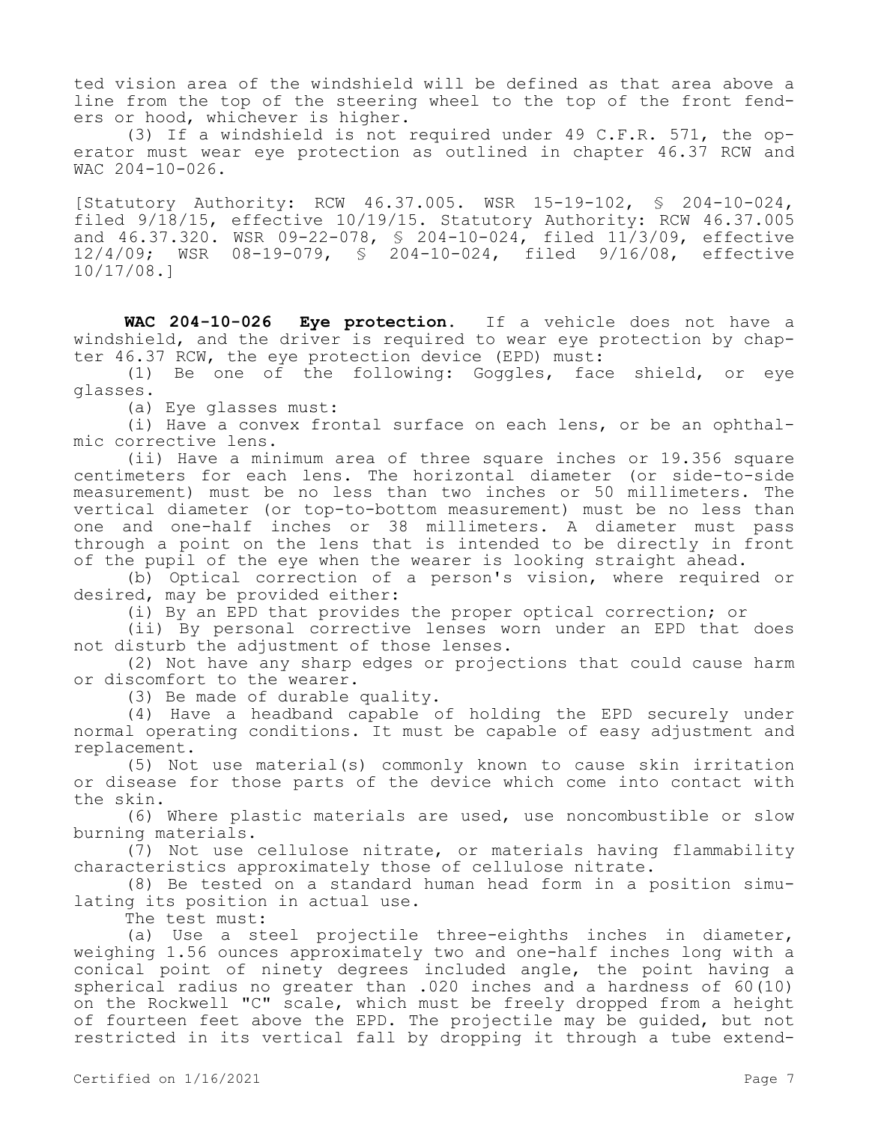ted vision area of the windshield will be defined as that area above a line from the top of the steering wheel to the top of the front fenders or hood, whichever is higher.

(3) If a windshield is not required under 49 C.F.R. 571, the operator must wear eye protection as outlined in chapter 46.37 RCW and  $WAC$  204-10-026.

[Statutory Authority: RCW 46.37.005. WSR 15-19-102, § 204-10-024, filed 9/18/15, effective 10/19/15. Statutory Authority: RCW 46.37.005 and 46.37.320. WSR 09-22-078, § 204-10-024, filed 11/3/09, effective 12/4/09; WSR 08-19-079, § 204-10-024, filed 9/16/08, effective 10/17/08.]

**WAC 204-10-026 Eye protection.** If a vehicle does not have a windshield, and the driver is required to wear eye protection by chapter 46.37 RCW, the eye protection device (EPD) must:

(1) Be one of the following: Goggles, face shield, or eye glasses.

(a) Eye glasses must:

(i) Have a convex frontal surface on each lens, or be an ophthalmic corrective lens.

(ii) Have a minimum area of three square inches or 19.356 square centimeters for each lens. The horizontal diameter (or side-to-side measurement) must be no less than two inches or 50 millimeters. The vertical diameter (or top-to-bottom measurement) must be no less than one and one-half inches or 38 millimeters. A diameter must pass through a point on the lens that is intended to be directly in front of the pupil of the eye when the wearer is looking straight ahead.

(b) Optical correction of a person's vision, where required or desired, may be provided either:

(i) By an EPD that provides the proper optical correction; or

(ii) By personal corrective lenses worn under an EPD that does not disturb the adjustment of those lenses.

(2) Not have any sharp edges or projections that could cause harm or discomfort to the wearer.

(3) Be made of durable quality.

(4) Have a headband capable of holding the EPD securely under normal operating conditions. It must be capable of easy adjustment and replacement.

(5) Not use material(s) commonly known to cause skin irritation or disease for those parts of the device which come into contact with the skin.

(6) Where plastic materials are used, use noncombustible or slow burning materials.

(7) Not use cellulose nitrate, or materials having flammability characteristics approximately those of cellulose nitrate.

(8) Be tested on a standard human head form in a position simulating its position in actual use.

The test must:

(a) Use a steel projectile three-eighths inches in diameter, weighing 1.56 ounces approximately two and one-half inches long with a conical point of ninety degrees included angle, the point having a spherical radius no greater than .020 inches and a hardness of 60(10) on the Rockwell "C" scale, which must be freely dropped from a height of fourteen feet above the EPD. The projectile may be guided, but not restricted in its vertical fall by dropping it through a tube extend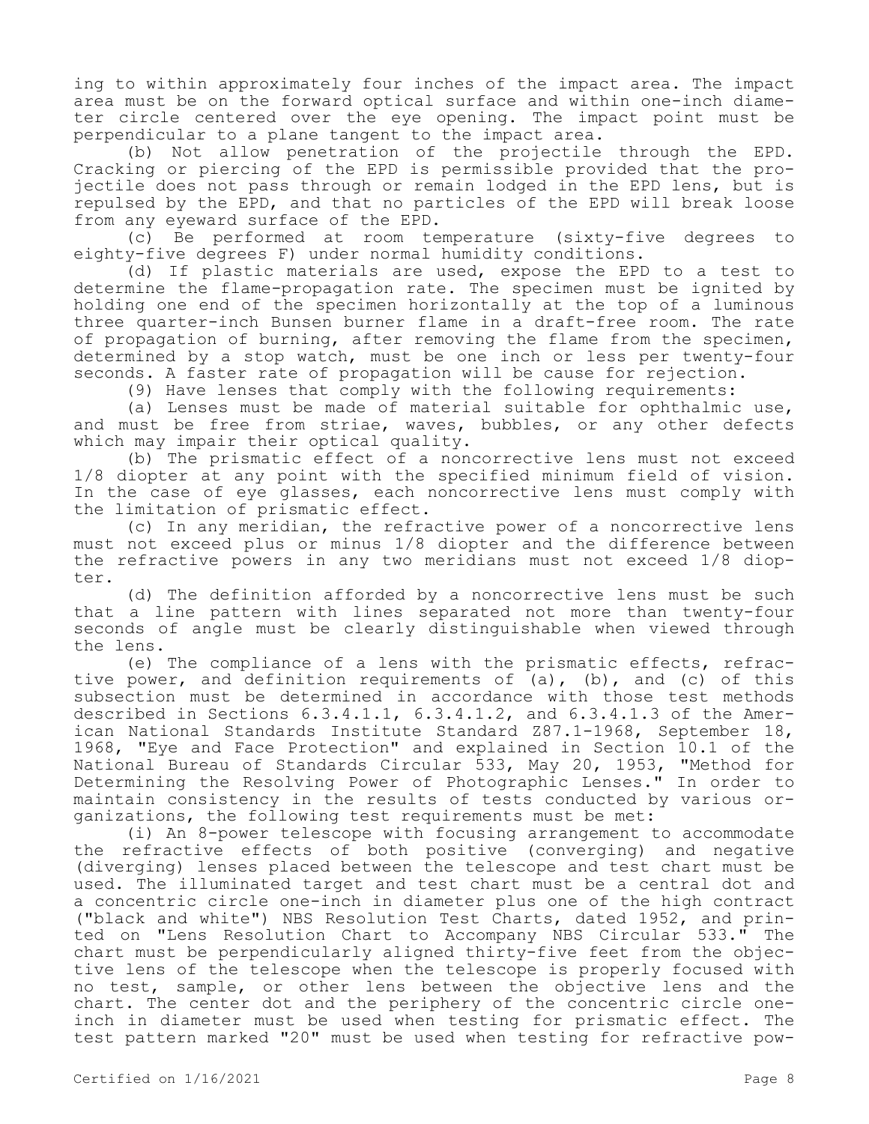ing to within approximately four inches of the impact area. The impact area must be on the forward optical surface and within one-inch diameter circle centered over the eye opening. The impact point must be perpendicular to a plane tangent to the impact area.

(b) Not allow penetration of the projectile through the EPD. Cracking or piercing of the EPD is permissible provided that the projectile does not pass through or remain lodged in the EPD lens, but is repulsed by the EPD, and that no particles of the EPD will break loose from any eyeward surface of the EPD.

(c) Be performed at room temperature (sixty-five degrees to eighty-five degrees F) under normal humidity conditions.

(d) If plastic materials are used, expose the EPD to a test to determine the flame-propagation rate. The specimen must be ignited by holding one end of the specimen horizontally at the top of a luminous three quarter-inch Bunsen burner flame in a draft-free room. The rate of propagation of burning, after removing the flame from the specimen, determined by a stop watch, must be one inch or less per twenty-four seconds. A faster rate of propagation will be cause for rejection.

(9) Have lenses that comply with the following requirements:

(a) Lenses must be made of material suitable for ophthalmic use, and must be free from striae, waves, bubbles, or any other defects which may impair their optical quality.

(b) The prismatic effect of a noncorrective lens must not exceed 1/8 diopter at any point with the specified minimum field of vision. In the case of eye glasses, each noncorrective lens must comply with the limitation of prismatic effect.

(c) In any meridian, the refractive power of a noncorrective lens must not exceed plus or minus 1/8 diopter and the difference between the refractive powers in any two meridians must not exceed 1/8 diopter.

(d) The definition afforded by a noncorrective lens must be such that a line pattern with lines separated not more than twenty-four seconds of angle must be clearly distinguishable when viewed through the lens.

(e) The compliance of a lens with the prismatic effects, refractive power, and definition requirements of (a), (b), and (c) of this subsection must be determined in accordance with those test methods described in Sections 6.3.4.1.1, 6.3.4.1.2, and 6.3.4.1.3 of the American National Standards Institute Standard Z87.1-1968, September 18, 1968, "Eye and Face Protection" and explained in Section 10.1 of the<br>National Bureau of Standards Circular 533, May 20, 1953, "Method for National Bureau of Standards Circular 533, May 20, 1953, Determining the Resolving Power of Photographic Lenses." In order to maintain consistency in the results of tests conducted by various organizations, the following test requirements must be met:

(i) An 8-power telescope with focusing arrangement to accommodate the refractive effects of both positive (converging) and negative (diverging) lenses placed between the telescope and test chart must be used. The illuminated target and test chart must be a central dot and a concentric circle one-inch in diameter plus one of the high contract ("black and white") NBS Resolution Test Charts, dated 1952, and printed on "Lens Resolution Chart to Accompany NBS Circular 533." The chart must be perpendicularly aligned thirty-five feet from the objective lens of the telescope when the telescope is properly focused with no test, sample, or other lens between the objective lens and the chart. The center dot and the periphery of the concentric circle oneinch in diameter must be used when testing for prismatic effect. The test pattern marked "20" must be used when testing for refractive pow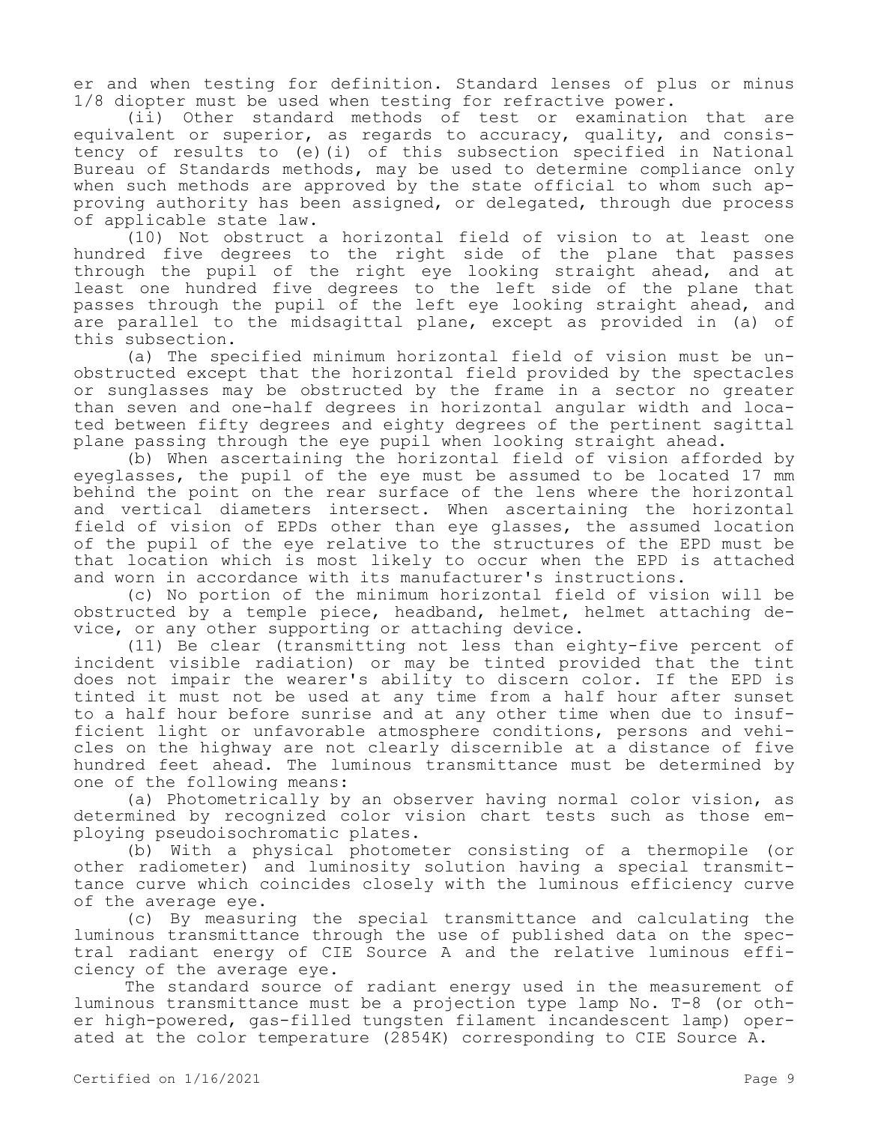er and when testing for definition. Standard lenses of plus or minus 1/8 diopter must be used when testing for refractive power.

(ii) Other standard methods of test or examination that are equivalent or superior, as regards to accuracy, quality, and consistency of results to (e)(i) of this subsection specified in National Bureau of Standards methods, may be used to determine compliance only when such methods are approved by the state official to whom such approving authority has been assigned, or delegated, through due process of applicable state law.

(10) Not obstruct a horizontal field of vision to at least one hundred five degrees to the right side of the plane that passes through the pupil of the right eye looking straight ahead, and at least one hundred five degrees to the left side of the plane that passes through the pupil of the left eye looking straight ahead, and are parallel to the midsagittal plane, except as provided in (a) of this subsection.

(a) The specified minimum horizontal field of vision must be unobstructed except that the horizontal field provided by the spectacles or sunglasses may be obstructed by the frame in a sector no greater than seven and one-half degrees in horizontal angular width and located between fifty degrees and eighty degrees of the pertinent sagittal plane passing through the eye pupil when looking straight ahead.

(b) When ascertaining the horizontal field of vision afforded by eyeglasses, the pupil of the eye must be assumed to be located 17 mm behind the point on the rear surface of the lens where the horizontal and vertical diameters intersect. When ascertaining the horizontal field of vision of EPDs other than eye glasses, the assumed location of the pupil of the eye relative to the structures of the EPD must be that location which is most likely to occur when the EPD is attached and worn in accordance with its manufacturer's instructions.

(c) No portion of the minimum horizontal field of vision will be obstructed by a temple piece, headband, helmet, helmet attaching device, or any other supporting or attaching device.

(11) Be clear (transmitting not less than eighty-five percent of incident visible radiation) or may be tinted provided that the tint does not impair the wearer's ability to discern color. If the EPD is tinted it must not be used at any time from a half hour after sunset to a half hour before sunrise and at any other time when due to insufficient light or unfavorable atmosphere conditions, persons and vehicles on the highway are not clearly discernible at a distance of five hundred feet ahead. The luminous transmittance must be determined by one of the following means:

(a) Photometrically by an observer having normal color vision, as determined by recognized color vision chart tests such as those employing pseudoisochromatic plates.

(b) With a physical photometer consisting of a thermopile (or other radiometer) and luminosity solution having a special transmittance curve which coincides closely with the luminous efficiency curve of the average eye.

(c) By measuring the special transmittance and calculating the luminous transmittance through the use of published data on the spectral radiant energy of CIE Source A and the relative luminous efficiency of the average eye.

The standard source of radiant energy used in the measurement of luminous transmittance must be a projection type lamp No. T-8 (or other high-powered, gas-filled tungsten filament incandescent lamp) operated at the color temperature (2854K) corresponding to CIE Source A.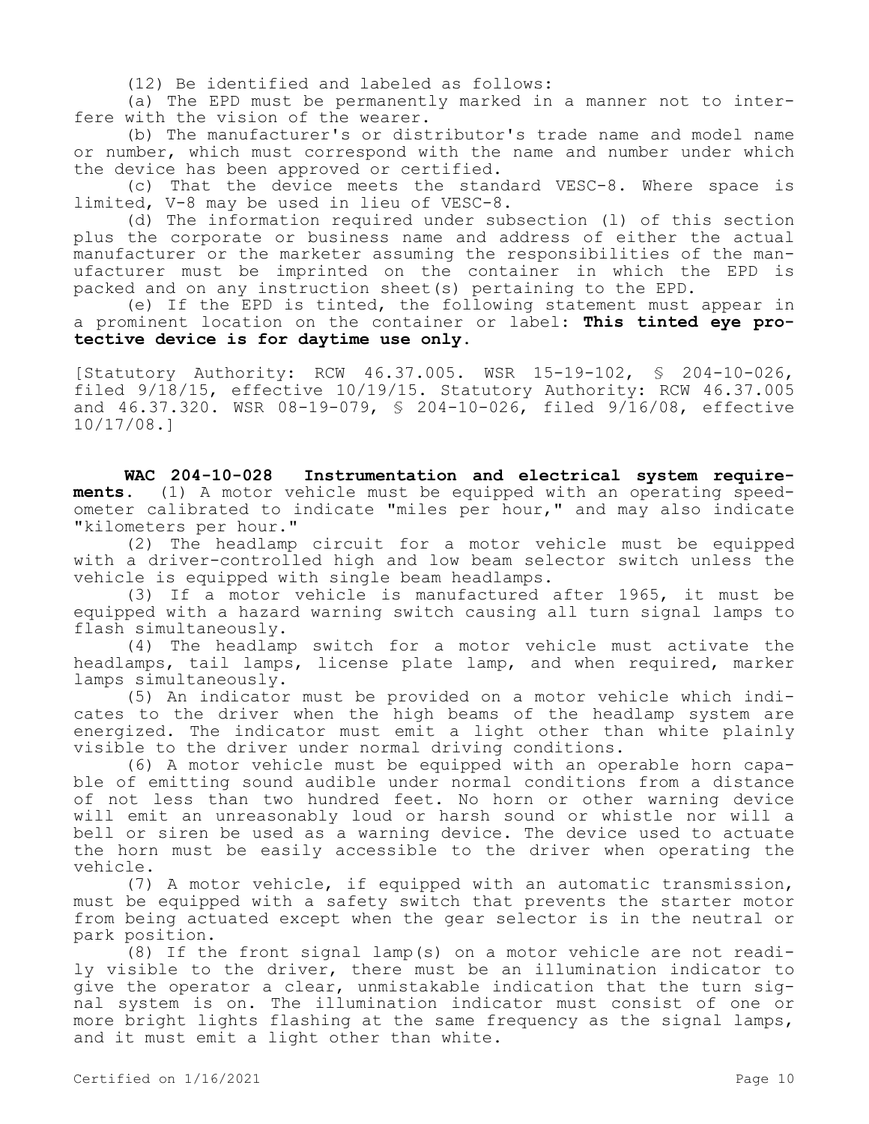(12) Be identified and labeled as follows:

(a) The EPD must be permanently marked in a manner not to interfere with the vision of the wearer.

(b) The manufacturer's or distributor's trade name and model name or number, which must correspond with the name and number under which the device has been approved or certified.

(c) That the device meets the standard VESC-8. Where space is limited, V-8 may be used in lieu of VESC-8.

(d) The information required under subsection (l) of this section plus the corporate or business name and address of either the actual manufacturer or the marketer assuming the responsibilities of the manufacturer must be imprinted on the container in which the EPD is packed and on any instruction sheet(s) pertaining to the EPD.

(e) If the EPD is tinted, the following statement must appear in a prominent location on the container or label: **This tinted eye protective device is for daytime use only.**

[Statutory Authority: RCW 46.37.005. WSR 15-19-102, § 204-10-026, filed 9/18/15, effective 10/19/15. Statutory Authority: RCW 46.37.005 and 46.37.320. WSR 08-19-079, § 204-10-026, filed 9/16/08, effective 10/17/08.]

**WAC 204-10-028 Instrumentation and electrical system requirements.** (1) A motor vehicle must be equipped with an operating speedometer calibrated to indicate "miles per hour," and may also indicate "kilometers per hour."

(2) The headlamp circuit for a motor vehicle must be equipped with a driver-controlled high and low beam selector switch unless the vehicle is equipped with single beam headlamps.

(3) If a motor vehicle is manufactured after 1965, it must be equipped with a hazard warning switch causing all turn signal lamps to flash simultaneously.

(4) The headlamp switch for a motor vehicle must activate the headlamps, tail lamps, license plate lamp, and when required, marker lamps simultaneously.

(5) An indicator must be provided on a motor vehicle which indicates to the driver when the high beams of the headlamp system are energized. The indicator must emit a light other than white plainly visible to the driver under normal driving conditions.

(6) A motor vehicle must be equipped with an operable horn capable of emitting sound audible under normal conditions from a distance of not less than two hundred feet. No horn or other warning device will emit an unreasonably loud or harsh sound or whistle nor will a bell or siren be used as a warning device. The device used to actuate the horn must be easily accessible to the driver when operating the vehicle.

(7) A motor vehicle, if equipped with an automatic transmission, must be equipped with a safety switch that prevents the starter motor from being actuated except when the gear selector is in the neutral or park position.

(8) If the front signal lamp(s) on a motor vehicle are not readily visible to the driver, there must be an illumination indicator to give the operator a clear, unmistakable indication that the turn signal system is on. The illumination indicator must consist of one or more bright lights flashing at the same frequency as the signal lamps, and it must emit a light other than white.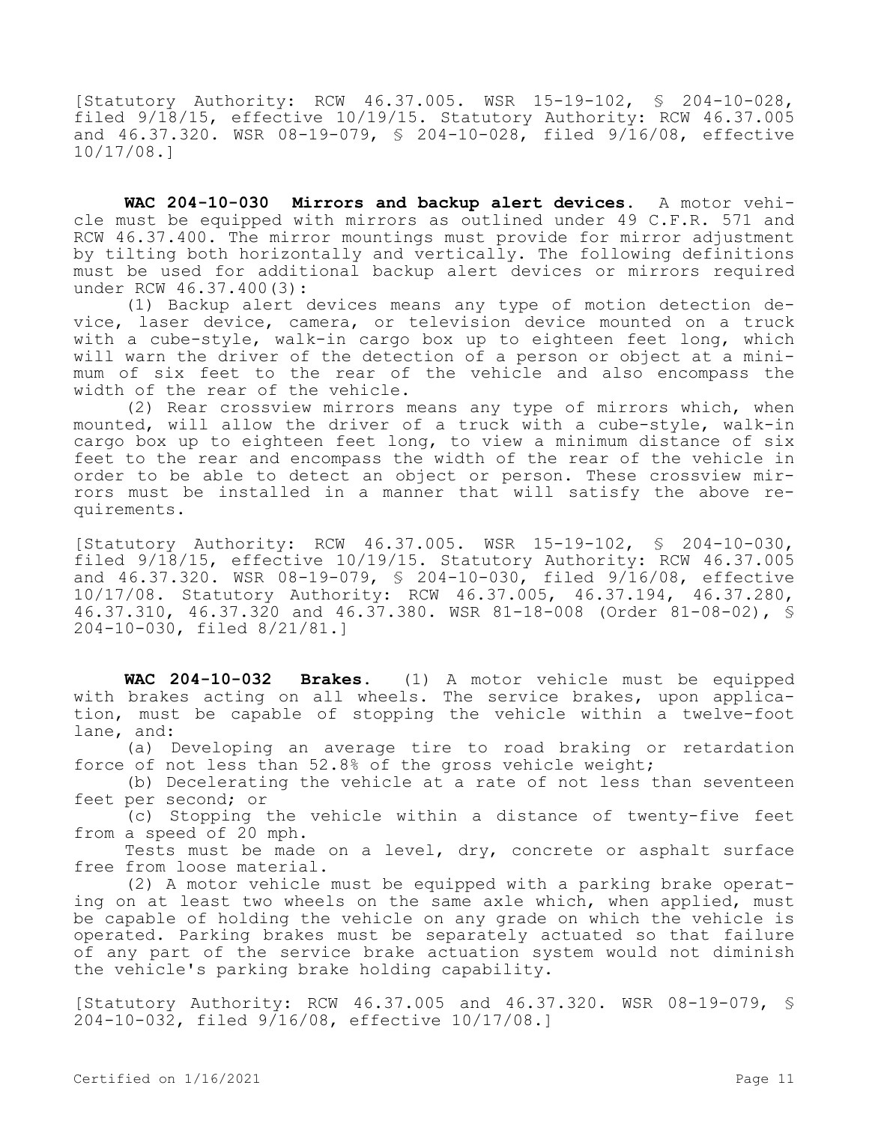[Statutory Authority: RCW 46.37.005. WSR 15-19-102, § 204-10-028, filed 9/18/15, effective 10/19/15. Statutory Authority: RCW 46.37.005 and  $46.37.320$ . WSR  $08-19-079$ , § 204-10-028, filed  $9/\overline{16}/08$ , effective 10/17/08.]

**WAC 204-10-030 Mirrors and backup alert devices.** A motor vehicle must be equipped with mirrors as outlined under 49 C.F.R. 571 and RCW 46.37.400. The mirror mountings must provide for mirror adjustment by tilting both horizontally and vertically. The following definitions must be used for additional backup alert devices or mirrors required under RCW 46.37.400(3):

(1) Backup alert devices means any type of motion detection device, laser device, camera, or television device mounted on a truck with a cube-style, walk-in cargo box up to eighteen feet long, which will warn the driver of the detection of a person or object at a minimum of six feet to the rear of the vehicle and also encompass the width of the rear of the vehicle.

(2) Rear crossview mirrors means any type of mirrors which, when mounted, will allow the driver of a truck with a cube-style, walk-in cargo box up to eighteen feet long, to view a minimum distance of six feet to the rear and encompass the width of the rear of the vehicle in order to be able to detect an object or person. These crossview mirrors must be installed in a manner that will satisfy the above requirements.

[Statutory Authority: RCW 46.37.005. WSR 15-19-102, § 204-10-030, filed 9/18/15, effective 10/19/15. Statutory Authority: RCW 46.37.005 and 46.37.320. WSR 08-19-079, § 204-10-030, filed 9/16/08, effective 10/17/08. Statutory Authority: RCW 46.37.005, 46.37.194, 46.37.280, 46.37.310, 46.37.320 and 46.37.380. WSR 81-18-008 (Order 81-08-02), § 204-10-030, filed 8/21/81.]

**WAC 204-10-032 Brakes.** (1) A motor vehicle must be equipped with brakes acting on all wheels. The service brakes, upon application, must be capable of stopping the vehicle within a twelve-foot lane, and:

(a) Developing an average tire to road braking or retardation force of not less than 52.8% of the gross vehicle weight;

(b) Decelerating the vehicle at a rate of not less than seventeen feet per second; or

(c) Stopping the vehicle within a distance of twenty-five feet from a speed of 20 mph.

Tests must be made on a level, dry, concrete or asphalt surface free from loose material.

(2) A motor vehicle must be equipped with a parking brake operating on at least two wheels on the same axle which, when applied, must be capable of holding the vehicle on any grade on which the vehicle is operated. Parking brakes must be separately actuated so that failure of any part of the service brake actuation system would not diminish the vehicle's parking brake holding capability.

[Statutory Authority: RCW 46.37.005 and 46.37.320. WSR 08-19-079, § 204-10-032, filed 9/16/08, effective 10/17/08.]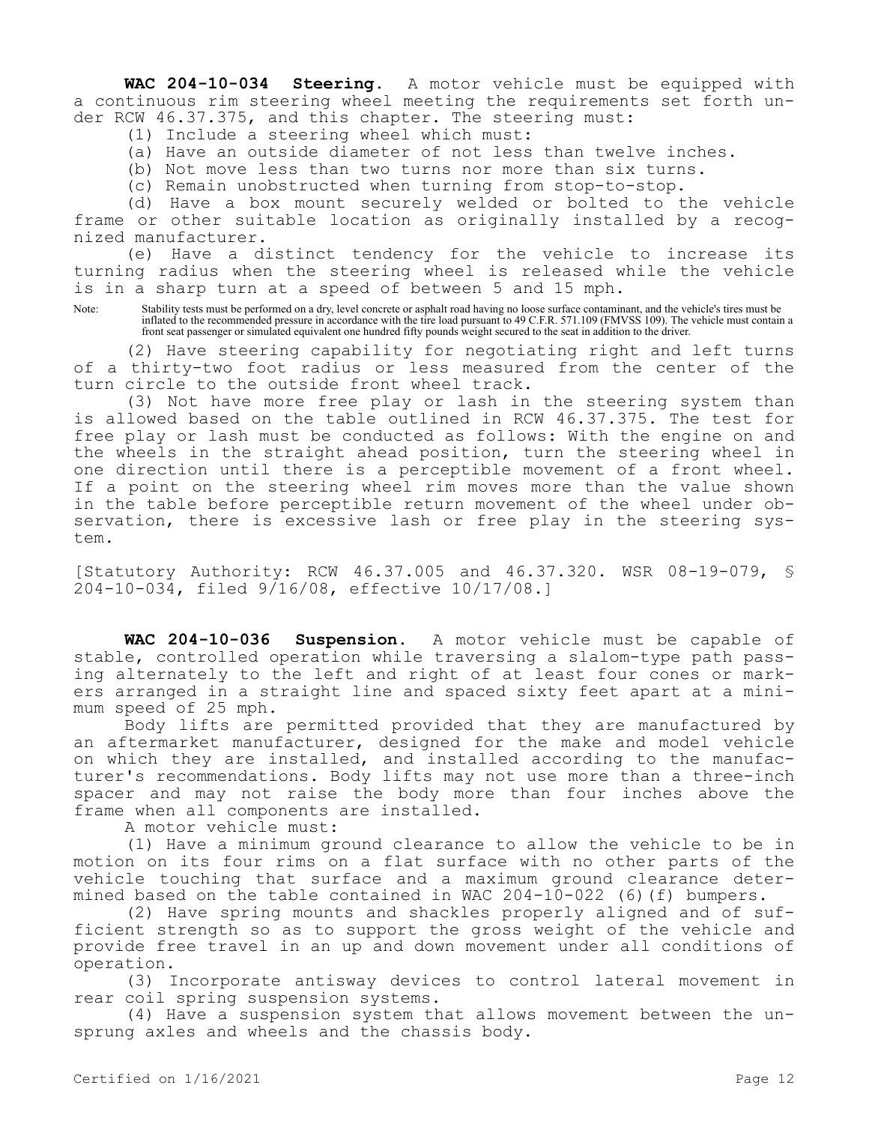**WAC 204-10-034 Steering.** A motor vehicle must be equipped with a continuous rim steering wheel meeting the requirements set forth under RCW 46.37.375, and this chapter. The steering must:

(1) Include a steering wheel which must:

- (a) Have an outside diameter of not less than twelve inches.
- (b) Not move less than two turns nor more than six turns.
- (c) Remain unobstructed when turning from stop-to-stop.

(d) Have a box mount securely welded or bolted to the vehicle frame or other suitable location as originally installed by a recognized manufacturer.

(e) Have a distinct tendency for the vehicle to increase its turning radius when the steering wheel is released while the vehicle is in a sharp turn at a speed of between 5 and 15 mph.

Note: Stability tests must be performed on a dry, level concrete or asphalt road having no loose surface contaminant, and the vehicle's tires must be inflated to the recommended pressure in accordance with the tire load pursuant to 49 C.F.R. 571.109 (FMVSS 109). The vehicle must contain a front seat passenger or simulated equivalent one hundred fifty pounds weight secured to the seat in addition to the driver.

(2) Have steering capability for negotiating right and left turns of a thirty-two foot radius or less measured from the center of the turn circle to the outside front wheel track.

(3) Not have more free play or lash in the steering system than is allowed based on the table outlined in RCW 46.37.375. The test for free play or lash must be conducted as follows: With the engine on and the wheels in the straight ahead position, turn the steering wheel in one direction until there is a perceptible movement of a front wheel. If a point on the steering wheel rim moves more than the value shown in the table before perceptible return movement of the wheel under observation, there is excessive lash or free play in the steering system.

[Statutory Authority: RCW 46.37.005 and 46.37.320. WSR 08-19-079, § 204-10-034, filed 9/16/08, effective 10/17/08.]

**WAC 204-10-036 Suspension.** A motor vehicle must be capable of stable, controlled operation while traversing a slalom-type path passing alternately to the left and right of at least four cones or markers arranged in a straight line and spaced sixty feet apart at a minimum speed of 25 mph.

Body lifts are permitted provided that they are manufactured by an aftermarket manufacturer, designed for the make and model vehicle on which they are installed, and installed according to the manufacturer's recommendations. Body lifts may not use more than a three-inch spacer and may not raise the body more than four inches above the frame when all components are installed.

A motor vehicle must:

(1) Have a minimum ground clearance to allow the vehicle to be in motion on its four rims on a flat surface with no other parts of the vehicle touching that surface and a maximum ground clearance determined based on the table contained in WAC 204-10-022 (6)(f) bumpers.

(2) Have spring mounts and shackles properly aligned and of sufficient strength so as to support the gross weight of the vehicle and provide free travel in an up and down movement under all conditions of operation.

(3) Incorporate antisway devices to control lateral movement in rear coil spring suspension systems.

(4) Have a suspension system that allows movement between the unsprung axles and wheels and the chassis body.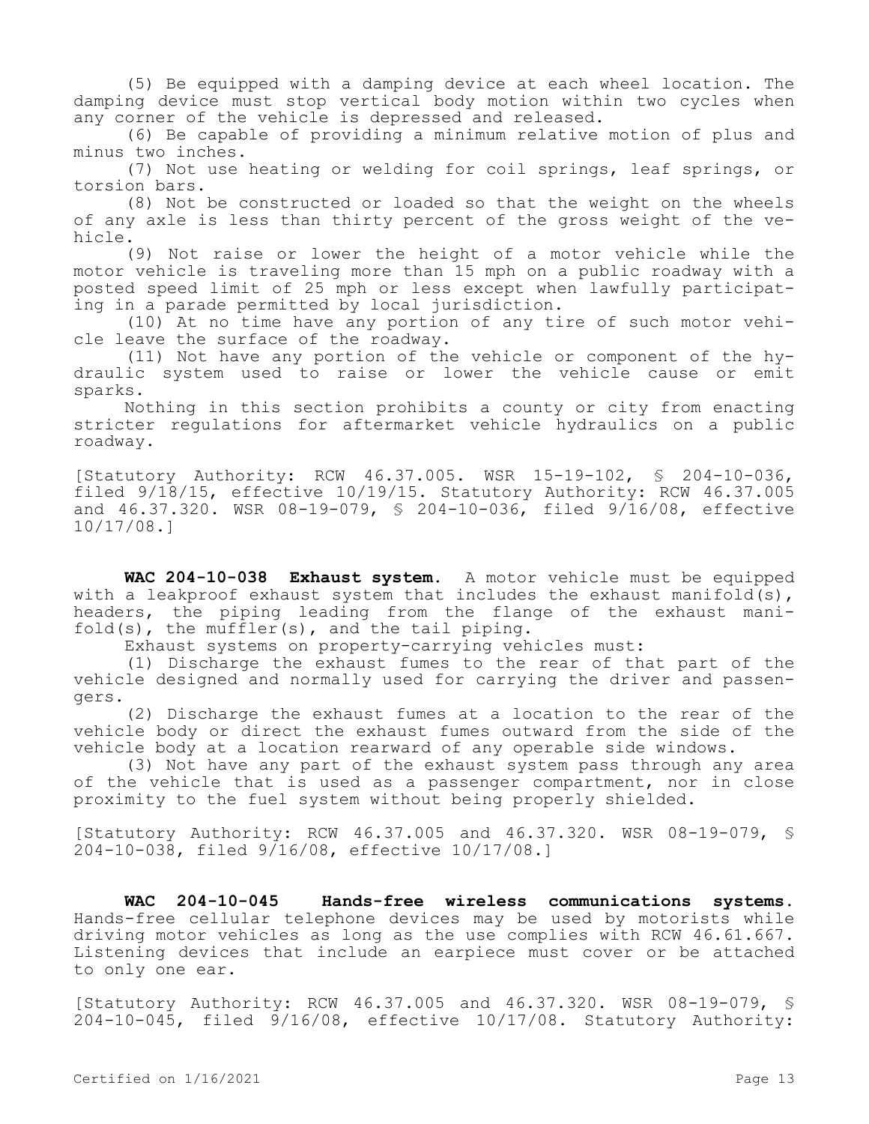(5) Be equipped with a damping device at each wheel location. The damping device must stop vertical body motion within two cycles when any corner of the vehicle is depressed and released.

(6) Be capable of providing a minimum relative motion of plus and minus two inches.

(7) Not use heating or welding for coil springs, leaf springs, or torsion bars.

(8) Not be constructed or loaded so that the weight on the wheels of any axle is less than thirty percent of the gross weight of the vehicle.

(9) Not raise or lower the height of a motor vehicle while the motor vehicle is traveling more than 15 mph on a public roadway with a posted speed limit of 25 mph or less except when lawfully participating in a parade permitted by local jurisdiction.

(10) At no time have any portion of any tire of such motor vehicle leave the surface of the roadway.

(11) Not have any portion of the vehicle or component of the hydraulic system used to raise or lower the vehicle cause or emit sparks.

Nothing in this section prohibits a county or city from enacting stricter regulations for aftermarket vehicle hydraulics on a public roadway.

[Statutory Authority: RCW 46.37.005. WSR 15-19-102, § 204-10-036, filed 9/18/15, effective 10/19/15. Statutory Authority: RCW 46.37.005 and 46.37.320. WSR 08-19-079, § 204-10-036, filed 9/16/08, effective 10/17/08.]

**WAC 204-10-038 Exhaust system.** A motor vehicle must be equipped with a leakproof exhaust system that includes the exhaust manifold(s), headers, the piping leading from the flange of the exhaust manifold(s), the muffler(s), and the tail piping.

Exhaust systems on property-carrying vehicles must:

(1) Discharge the exhaust fumes to the rear of that part of the vehicle designed and normally used for carrying the driver and passengers.

(2) Discharge the exhaust fumes at a location to the rear of the vehicle body or direct the exhaust fumes outward from the side of the vehicle body at a location rearward of any operable side windows.

(3) Not have any part of the exhaust system pass through any area of the vehicle that is used as a passenger compartment, nor in close proximity to the fuel system without being properly shielded.

[Statutory Authority: RCW 46.37.005 and 46.37.320. WSR 08-19-079, § 204-10-038, filed 9/16/08, effective 10/17/08.]

**WAC 204-10-045 Hands-free wireless communications systems.**  Hands-free cellular telephone devices may be used by motorists while driving motor vehicles as long as the use complies with RCW 46.61.667. Listening devices that include an earpiece must cover or be attached to only one ear.

[Statutory Authority: RCW 46.37.005 and 46.37.320. WSR 08-19-079, § 204-10-045, filed 9/16/08, effective 10/17/08. Statutory Authority: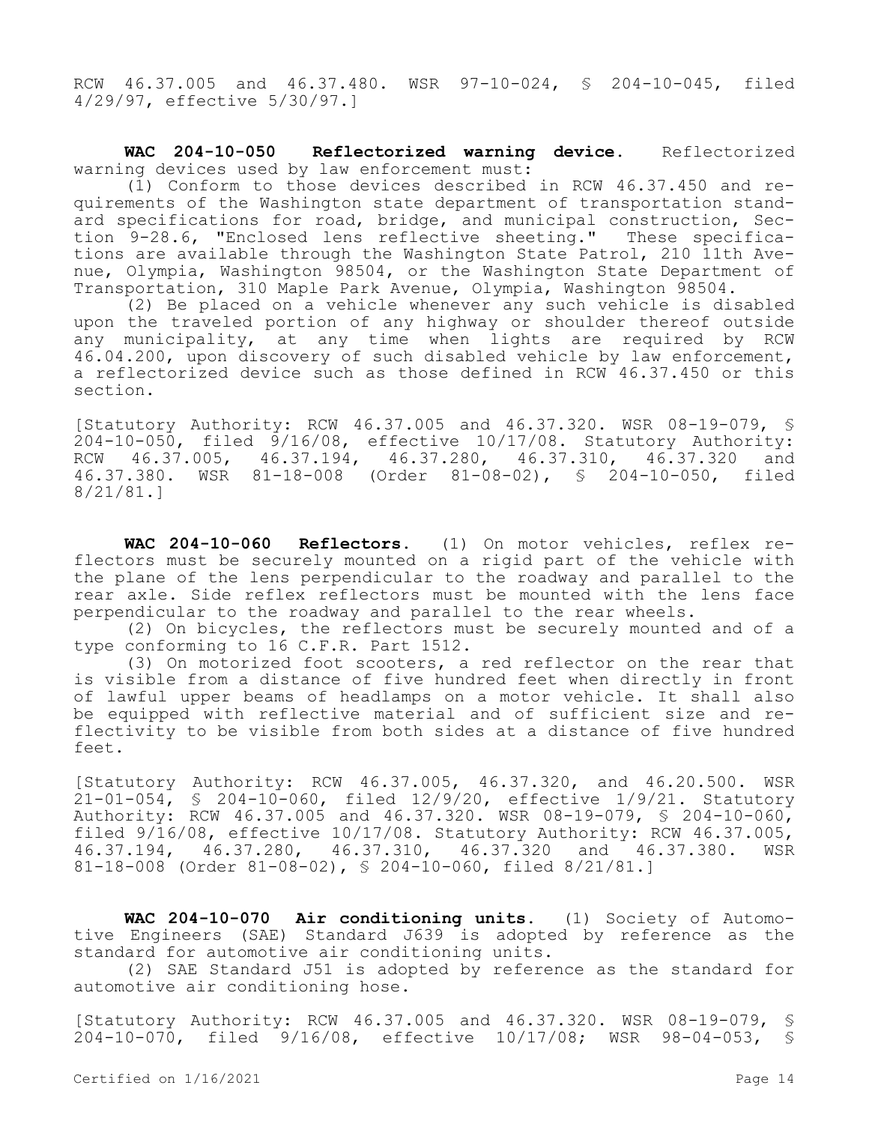RCW 46.37.005 and 46.37.480. WSR 97-10-024, § 204-10-045, filed 4/29/97, effective 5/30/97.]

**WAC 204-10-050 Reflectorized warning device.** Reflectorized warning devices used by law enforcement must:

(1) Conform to those devices described in RCW 46.37.450 and requirements of the Washington state department of transportation standard specifications for road, bridge, and municipal construction, Section 9-28.6, "Enclosed lens reflective sheeting." These specifications are available through the Washington State Patrol, 210 11th Avenue, Olympia, Washington 98504, or the Washington State Department of Transportation, 310 Maple Park Avenue, Olympia, Washington 98504.

(2) Be placed on a vehicle whenever any such vehicle is disabled upon the traveled portion of any highway or shoulder thereof outside any municipality, at any time when lights are required by RCW 46.04.200, upon discovery of such disabled vehicle by law enforcement, a reflectorized device such as those defined in RCW 46.37.450 or this section.

[Statutory Authority: RCW 46.37.005 and 46.37.320. WSR 08-19-079, § 204-10-050, filed 9/16/08, effective 10/17/08. Statutory Authority: RCW 46.37.005, 46.37.194, 46.37.280, 46.37.310, 46.37.320 and 46.37.380. WSR 81-18-008 (Order 81-08-02), § 204-10-050, filed 8/21/81.]

**WAC 204-10-060 Reflectors.** (1) On motor vehicles, reflex reflectors must be securely mounted on a rigid part of the vehicle with the plane of the lens perpendicular to the roadway and parallel to the rear axle. Side reflex reflectors must be mounted with the lens face perpendicular to the roadway and parallel to the rear wheels.

(2) On bicycles, the reflectors must be securely mounted and of a type conforming to 16 C.F.R. Part 1512.

(3) On motorized foot scooters, a red reflector on the rear that is visible from a distance of five hundred feet when directly in front of lawful upper beams of headlamps on a motor vehicle. It shall also be equipped with reflective material and of sufficient size and reflectivity to be visible from both sides at a distance of five hundred feet.

[Statutory Authority: RCW 46.37.005, 46.37.320, and 46.20.500. WSR 21-01-054, § 204-10-060, filed 12/9/20, effective 1/9/21. Statutory Authority: RCW 46.37.005 and 46.37.320. WSR 08-19-079, § 204-10-060, filed 9/16/08, effective 10/17/08. Statutory Authority: RCW 46.37.005, 46.37.194, 46.37.280, 46.37.310, 46.37.320 and 46.37.380. WSR 81-18-008 (Order 81-08-02), § 204-10-060, filed 8/21/81.]

**WAC 204-10-070 Air conditioning units.** (1) Society of Automotive Engineers (SAE) Standard J639 is adopted by reference as the standard for automotive air conditioning units.

(2) SAE Standard J51 is adopted by reference as the standard for automotive air conditioning hose.

[Statutory Authority: RCW 46.37.005 and 46.37.320. WSR 08-19-079, § 204-10-070, filed 9/16/08, effective 10/17/08; WSR 98-04-053, §